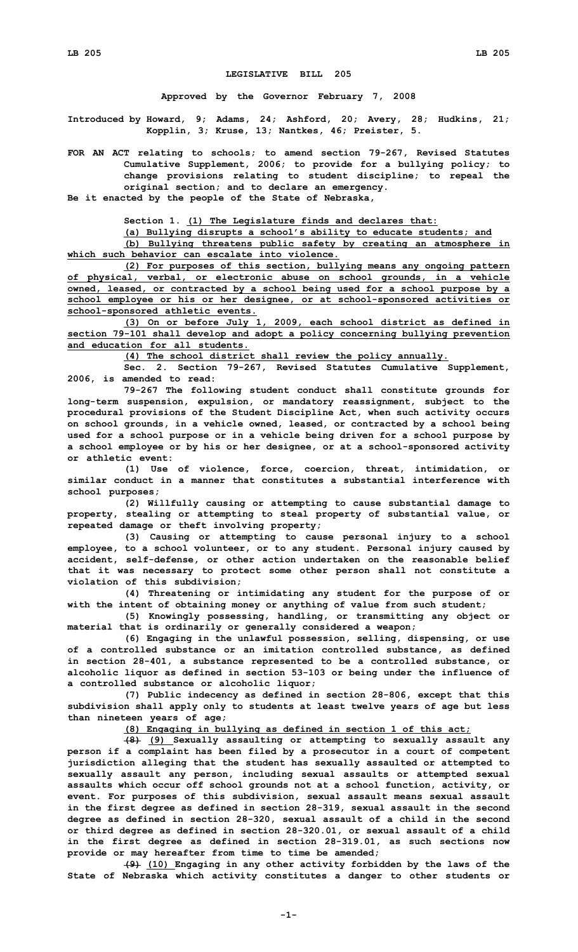## **LEGISLATIVE BILL 205**

**Approved by the Governor February 7, 2008**

**Introduced by Howard, 9; Adams, 24; Ashford, 20; Avery, 28; Hudkins, 21; Kopplin, 3; Kruse, 13; Nantkes, 46; Preister, 5.**

**FOR AN ACT relating to schools; to amend section 79-267, Revised Statutes Cumulative Supplement, 2006; to provide for <sup>a</sup> bullying policy; to change provisions relating to student discipline; to repeal the original section; and to declare an emergency.**

**Be it enacted by the people of the State of Nebraska,**

**Section 1. (1) The Legislature finds and declares that:**

**(a) Bullying disrupts <sup>a</sup> school's ability to educate students; and**

**(b) Bullying threatens public safety by creating an atmosphere in which such behavior can escalate into violence.**

**(2) For purposes of this section, bullying means any ongoing pattern of physical, verbal, or electronic abuse on school grounds, in <sup>a</sup> vehicle owned, leased, or contracted by <sup>a</sup> school being used for <sup>a</sup> school purpose by <sup>a</sup> school employee or his or her designee, or at school-sponsored activities or school-sponsored athletic events.**

**(3) On or before July 1, 2009, each school district as defined in section 79-101 shall develop and adopt <sup>a</sup> policy concerning bullying prevention and education for all students.**

**(4) The school district shall review the policy annually.**

**Sec. 2. Section 79-267, Revised Statutes Cumulative Supplement, 2006, is amended to read:**

**79-267 The following student conduct shall constitute grounds for long-term suspension, expulsion, or mandatory reassignment, subject to the procedural provisions of the Student Discipline Act, when such activity occurs on school grounds, in <sup>a</sup> vehicle owned, leased, or contracted by <sup>a</sup> school being used for <sup>a</sup> school purpose or in <sup>a</sup> vehicle being driven for <sup>a</sup> school purpose by <sup>a</sup> school employee or by his or her designee, or at <sup>a</sup> school-sponsored activity or athletic event:**

**(1) Use of violence, force, coercion, threat, intimidation, or similar conduct in a manner that constitutes a substantial interference with school purposes;**

**(2) Willfully causing or attempting to cause substantial damage to property, stealing or attempting to steal property of substantial value, or repeated damage or theft involving property;**

**(3) Causing or attempting to cause personal injury to <sup>a</sup> school employee, to <sup>a</sup> school volunteer, or to any student. Personal injury caused by accident, self-defense, or other action undertaken on the reasonable belief that it was necessary to protect some other person shall not constitute <sup>a</sup> violation of this subdivision;**

**(4) Threatening or intimidating any student for the purpose of or with the intent of obtaining money or anything of value from such student;**

**(5) Knowingly possessing, handling, or transmitting any object or material that is ordinarily or generally considered <sup>a</sup> weapon;**

**(6) Engaging in the unlawful possession, selling, dispensing, or use of <sup>a</sup> controlled substance or an imitation controlled substance, as defined in section 28-401, <sup>a</sup> substance represented to be <sup>a</sup> controlled substance, or alcoholic liquor as defined in section 53-103 or being under the influence of <sup>a</sup> controlled substance or alcoholic liquor;**

**(7) Public indecency as defined in section 28-806, except that this subdivision shall apply only to students at least twelve years of age but less than nineteen years of age;**

**(8) Engaging in bullying as defined in section 1 of this act;**

**(8) (9) Sexually assaulting or attempting to sexually assault any person if <sup>a</sup> complaint has been filed by <sup>a</sup> prosecutor in <sup>a</sup> court of competent jurisdiction alleging that the student has sexually assaulted or attempted to sexually assault any person, including sexual assaults or attempted sexual assaults which occur off school grounds not at <sup>a</sup> school function, activity, or event. For purposes of this subdivision, sexual assault means sexual assault in the first degree as defined in section 28-319, sexual assault in the second degree as defined in section 28-320, sexual assault of <sup>a</sup> child in the second or third degree as defined in section 28-320.01, or sexual assault of <sup>a</sup> child in the first degree as defined in section 28-319.01, as such sections now provide or may hereafter from time to time be amended;**

**(9) (10) Engaging in any other activity forbidden by the laws of the State of Nebraska which activity constitutes <sup>a</sup> danger to other students or**